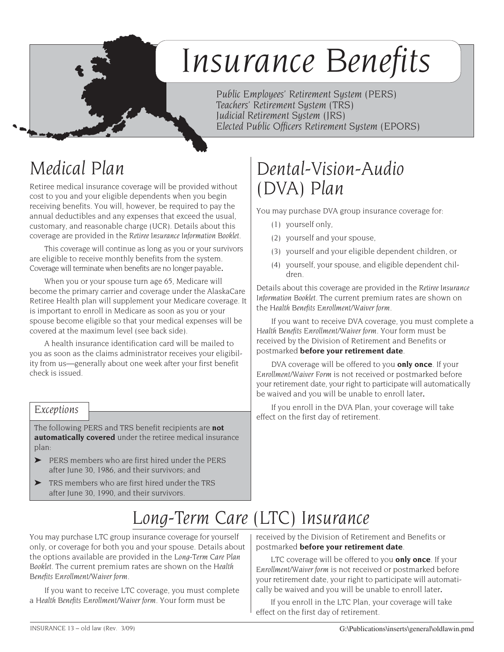# *Insurance Benefits*

*Public Employees' Retirement System (PERS) Teachers' Retirement System (TRS) Judicial Retirement System (JRS) Elected Public Officers Retirement System (EPORS)*

## *Medical Plan*

Retiree medical insurance coverage will be provided without cost to you and your eligible dependents when you begin receiving benefits. You will, however, be required to pay the annual deductibles and any expenses that exceed the usual, customary, and reasonable charge (UCR). Details about this coverage are provided in the *Retiree Insurance Information Booklet*.

This coverage will continue as long as you or your survivors are eligible to receive monthly benefits from the system. Coverage will terminate when benefits are no longer payable*.*

When you or your spouse turn age 65, Medicare will become the primary carrier and coverage under the AlaskaCare Retiree Health plan will supplement your Medicare coverage. It is important to enroll in Medicare as soon as you or your spouse become eligible so that your medical expenses will be covered at the maximum level (see back side).

A health insurance identification card will be mailed to you as soon as the claims administrator receives your eligibility from us—generally about one week after your first benefit check is issued.

#### *Exceptions*

The following PERS and TRS benefit recipients are **not automatically covered** under the retiree medical insurance plan:

- ➤ PERS members who are first hired under the PERS after June 30, 1986, and their survivors; and
- ➤ TRS members who are first hired under the TRS after June 30, 1990, and their survivors.

### *Dental-Vision-Audio (DVA) Plan*

You may purchase DVA group insurance coverage for:

- (1) yourself only,
- (2) yourself and your spouse,
- (3) yourself and your eligible dependent children, or
- (4) yourself, your spouse, and eligible dependent children.

Details about this coverage are provided in the *Retiree Insurance Information Booklet*. The current premium rates are shown on the *Health Benefits Enrollment/Waiver form*.

If you want to receive DVA coverage, you must complete a *Health Benefits Enrollment/Waiver form*. Your form must be received by the Division of Retirement and Benefits or postmarked **before your retirement date**.

DVA coverage will be offered to you **only once**. If your *Enrollment/Waiver Form* is not received or postmarked before your retirement date, your right to participate will automatically be waived and you will be unable to enroll later*.*

If you enroll in the DVA Plan, your coverage will take effect on the first day of retirement.

### *Long-Term Care (LTC) Insurance*

You may purchase LTC group insurance coverage for yourself only, or coverage for both you and your spouse. Details about the options available are provided in the *Long-Term Care Plan Booklet*. The current premium rates are shown on the *Health Benefits Enrollment/Waiver form*.

If you want to receive LTC coverage, you must complete a *Health Benefits Enrollment/Waiver form*. Your form must be

received by the Division of Retirement and Benefits or postmarked **before your retirement date**.

LTC coverage will be offered to you **only once**. If your *Enrollment/Waiver form* is not received or postmarked before your retirement date, your right to participate will automatically be waived and you will be unable to enroll later*.*

If you enroll in the LTC Plan, your coverage will take effect on the first day of retirement.